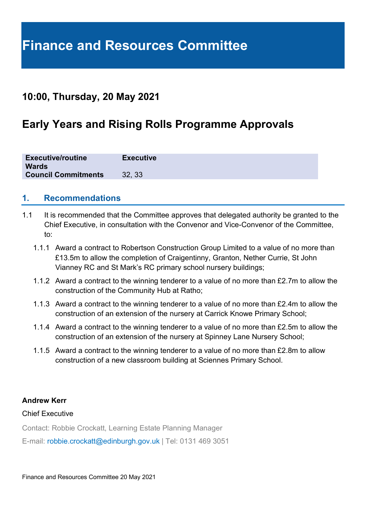## **10:00, Thursday, 20 May 2021**

# **Early Years and Rising Rolls Programme Approvals**

| <b>Executive/routine</b><br><b>Wards</b> | <b>Executive</b> |
|------------------------------------------|------------------|
| <b>Council Commitments</b>               | 32.33            |

### **1. Recommendations**

- 1.1 It is recommended that the Committee approves that delegated authority be granted to the Chief Executive, in consultation with the Convenor and Vice-Convenor of the Committee, to:
	- 1.1.1 Award a contract to Robertson Construction Group Limited to a value of no more than £13.5m to allow the completion of Craigentinny, Granton, Nether Currie, St John Vianney RC and St Mark's RC primary school nursery buildings;
	- 1.1.2 Award a contract to the winning tenderer to a value of no more than £2.7m to allow the construction of the Community Hub at Ratho;
	- 1.1.3 Award a contract to the winning tenderer to a value of no more than £2.4m to allow the construction of an extension of the nursery at Carrick Knowe Primary School;
	- 1.1.4 Award a contract to the winning tenderer to a value of no more than £2.5m to allow the construction of an extension of the nursery at Spinney Lane Nursery School;
	- 1.1.5 Award a contract to the winning tenderer to a value of no more than £2.8m to allow construction of a new classroom building at Sciennes Primary School.

#### **Andrew Kerr**

#### Chief Executive

Contact: Robbie Crockatt, Learning Estate Planning Manager

E-mail: robbie.crockatt@edinburgh.gov.uk | Tel: 0131 469 3051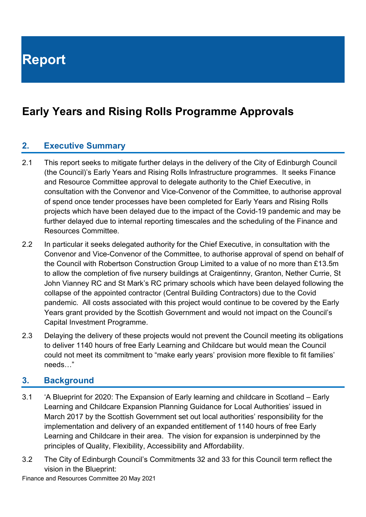# **Early Years and Rising Rolls Programme Approvals**

### **2. Executive Summary**

- 2.1 This report seeks to mitigate further delays in the delivery of the City of Edinburgh Council (the Council)'s Early Years and Rising Rolls Infrastructure programmes. It seeks Finance and Resource Committee approval to delegate authority to the Chief Executive, in consultation with the Convenor and Vice-Convenor of the Committee, to authorise approval of spend once tender processes have been completed for Early Years and Rising Rolls projects which have been delayed due to the impact of the Covid-19 pandemic and may be further delayed due to internal reporting timescales and the scheduling of the Finance and Resources Committee.
- 2.2 In particular it seeks delegated authority for the Chief Executive, in consultation with the Convenor and Vice-Convenor of the Committee, to authorise approval of spend on behalf of the Council with Robertson Construction Group Limited to a value of no more than £13.5m to allow the completion of five nursery buildings at Craigentinny, Granton, Nether Currie, St John Vianney RC and St Mark's RC primary schools which have been delayed following the collapse of the appointed contractor (Central Building Contractors) due to the Covid pandemic. All costs associated with this project would continue to be covered by the Early Years grant provided by the Scottish Government and would not impact on the Council's Capital Investment Programme.
- 2.3 Delaying the delivery of these projects would not prevent the Council meeting its obligations to deliver 1140 hours of free Early Learning and Childcare but would mean the Council could not meet its commitment to "make early years' provision more flexible to fit families' needs…"

#### **3. Background**

- 3.1 'A Blueprint for 2020: The Expansion of Early learning and childcare in Scotland Early Learning and Childcare Expansion Planning Guidance for Local Authorities' issued in March 2017 by the Scottish Government set out local authorities' responsibility for the implementation and delivery of an expanded entitlement of 1140 hours of free Early Learning and Childcare in their area. The vision for expansion is underpinned by the principles of Quality, Flexibility, Accessibility and Affordability.
- 3.2 The City of Edinburgh Council's Commitments 32 and 33 for this Council term reflect the vision in the Blueprint: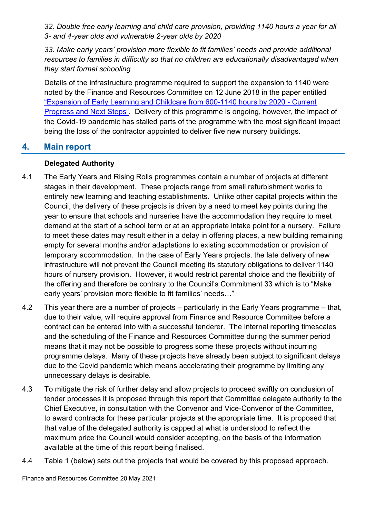*32. Double free early learning and child care provision, providing 1140 hours a year for all 3- and 4-year olds and vulnerable 2-year olds by 2020*

*33. Make early years' provision more flexible to fit families' needs and provide additional resources to families in difficulty so that no children are educationally disadvantaged when they start formal schooling*

Details of the infrastructure programme required to support the expansion to 1140 were noted by the Finance and Resources Committee on 12 June 2018 in the paper entitled ["Expansion of Early Learning and Childcare from 600-1140 hours by 2020 -](https://democracy.edinburgh.gov.uk/Data/Finance%20and%20Resources%20Committee/20180612/Agenda/$item_724_-_expansion_of_early_learning_and_childcare_from_600-1400_hours_by_2020_-_current_progress_and_next_.xls.pdf) Current [Progress and Next Steps".](https://democracy.edinburgh.gov.uk/Data/Finance%20and%20Resources%20Committee/20180612/Agenda/$item_724_-_expansion_of_early_learning_and_childcare_from_600-1400_hours_by_2020_-_current_progress_and_next_.xls.pdf) Delivery of this programme is ongoing, however, the impact of the Covid-19 pandemic has stalled parts of the programme with the most significant impact being the loss of the contractor appointed to deliver five new nursery buildings.

### **4. Main report**

#### **Delegated Authority**

- 4.1 The Early Years and Rising Rolls programmes contain a number of projects at different stages in their development. These projects range from small refurbishment works to entirely new learning and teaching establishments. Unlike other capital projects within the Council, the delivery of these projects is driven by a need to meet key points during the year to ensure that schools and nurseries have the accommodation they require to meet demand at the start of a school term or at an appropriate intake point for a nursery. Failure to meet these dates may result either in a delay in offering places, a new building remaining empty for several months and/or adaptations to existing accommodation or provision of temporary accommodation. In the case of Early Years projects, the late delivery of new infrastructure will not prevent the Council meeting its statutory obligations to deliver 1140 hours of nursery provision. However, it would restrict parental choice and the flexibility of the offering and therefore be contrary to the Council's Commitment 33 which is to "Make early years' provision more flexible to fit families' needs…"
- 4.2 This year there are a number of projects particularly in the Early Years programme that, due to their value, will require approval from Finance and Resource Committee before a contract can be entered into with a successful tenderer. The internal reporting timescales and the scheduling of the Finance and Resources Committee during the summer period means that it may not be possible to progress some these projects without incurring programme delays. Many of these projects have already been subject to significant delays due to the Covid pandemic which means accelerating their programme by limiting any unnecessary delays is desirable.
- 4.3 To mitigate the risk of further delay and allow projects to proceed swiftly on conclusion of tender processes it is proposed through this report that Committee delegate authority to the Chief Executive, in consultation with the Convenor and Vice-Convenor of the Committee, to award contracts for these particular projects at the appropriate time. It is proposed that that value of the delegated authority is capped at what is understood to reflect the maximum price the Council would consider accepting, on the basis of the information available at the time of this report being finalised.
- 4.4 Table 1 (below) sets out the projects that would be covered by this proposed approach.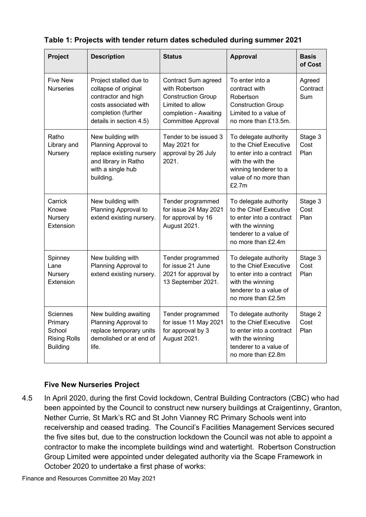| Project                                                                 | <b>Description</b>                                                                                                                               | <b>Status</b>                                                                                                                                | <b>Approval</b>                                                                                                                                             | <b>Basis</b><br>of Cost   |
|-------------------------------------------------------------------------|--------------------------------------------------------------------------------------------------------------------------------------------------|----------------------------------------------------------------------------------------------------------------------------------------------|-------------------------------------------------------------------------------------------------------------------------------------------------------------|---------------------------|
| <b>Five New</b><br><b>Nurseries</b>                                     | Project stalled due to<br>collapse of original<br>contractor and high<br>costs associated with<br>completion (further<br>details in section 4.5) | Contract Sum agreed<br>with Robertson<br><b>Construction Group</b><br>Limited to allow<br>completion - Awaiting<br><b>Committee Approval</b> | To enter into a<br>contract with<br>Robertson<br><b>Construction Group</b><br>Limited to a value of<br>no more than £13.5m.                                 | Agreed<br>Contract<br>Sum |
| Ratho<br>Library and<br>Nursery                                         | New building with<br>Planning Approval to<br>replace existing nursery<br>and library in Ratho<br>with a single hub<br>building.                  | Tender to be issued 3<br>May 2021 for<br>approval by 26 July<br>2021.                                                                        | To delegate authority<br>to the Chief Executive<br>to enter into a contract<br>with the with the<br>winning tenderer to a<br>value of no more than<br>£2.7m | Stage 3<br>Cost<br>Plan   |
| Carrick<br>Knowe<br>Nursery<br>Extension                                | New building with<br>Planning Approval to<br>extend existing nursery.                                                                            | Tender programmed<br>for issue 24 May 2021<br>for approval by 16<br>August 2021.                                                             | To delegate authority<br>to the Chief Executive<br>to enter into a contract<br>with the winning<br>tenderer to a value of<br>no more than £2.4m             | Stage 3<br>Cost<br>Plan   |
| Spinney<br>Lane<br>Nursery<br>Extension                                 | New building with<br>Planning Approval to<br>extend existing nursery.                                                                            | Tender programmed<br>for issue 21 June<br>2021 for approval by<br>13 September 2021.                                                         | To delegate authority<br>to the Chief Executive<br>to enter into a contract<br>with the winning<br>tenderer to a value of<br>no more than £2.5m             | Stage 3<br>Cost<br>Plan   |
| Sciennes<br>Primary<br>School<br><b>Rising Rolls</b><br><b>Building</b> | New building awaiting<br>Planning Approval to<br>replace temporary units<br>demolished or at end of<br>life.                                     | Tender programmed<br>for issue 11 May 2021<br>for approval by 3<br>August 2021.                                                              | To delegate authority<br>to the Chief Executive<br>to enter into a contract<br>with the winning<br>tenderer to a value of<br>no more than £2.8m             | Stage 2<br>Cost<br>Plan   |

| Table 1: Projects with tender return dates scheduled during summer 2021 |
|-------------------------------------------------------------------------|
|-------------------------------------------------------------------------|

#### **Five New Nurseries Project**

4.5 In April 2020, during the first Covid lockdown, Central Building Contractors (CBC) who had been appointed by the Council to construct new nursery buildings at Craigentinny, Granton, Nether Currie, St Mark's RC and St John Vianney RC Primary Schools went into receivership and ceased trading. The Council's Facilities Management Services secured the five sites but, due to the construction lockdown the Council was not able to appoint a contractor to make the incomplete buildings wind and watertight. Robertson Construction Group Limited were appointed under delegated authority via the Scape Framework in October 2020 to undertake a first phase of works: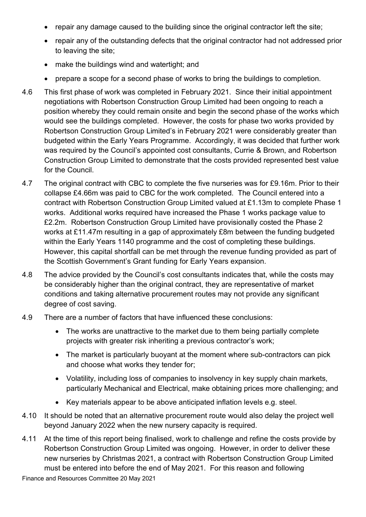- repair any damage caused to the building since the original contractor left the site;
- repair any of the outstanding defects that the original contractor had not addressed prior to leaving the site;
- make the buildings wind and watertight; and
- prepare a scope for a second phase of works to bring the buildings to completion.
- 4.6 This first phase of work was completed in February 2021. Since their initial appointment negotiations with Robertson Construction Group Limited had been ongoing to reach a position whereby they could remain onsite and begin the second phase of the works which would see the buildings completed. However, the costs for phase two works provided by Robertson Construction Group Limited's in February 2021 were considerably greater than budgeted within the Early Years Programme. Accordingly, it was decided that further work was required by the Council's appointed cost consultants, Currie & Brown, and Robertson Construction Group Limited to demonstrate that the costs provided represented best value for the Council.
- 4.7 The original contract with CBC to complete the five nurseries was for £9.16m. Prior to their collapse £4.66m was paid to CBC for the work completed. The Council entered into a contract with Robertson Construction Group Limited valued at £1.13m to complete Phase 1 works. Additional works required have increased the Phase 1 works package value to £2.2m. Robertson Construction Group Limited have provisionally costed the Phase 2 works at £11.47m resulting in a gap of approximately £8m between the funding budgeted within the Early Years 1140 programme and the cost of completing these buildings. However, this capital shortfall can be met through the revenue funding provided as part of the Scottish Government's Grant funding for Early Years expansion.
- 4.8 The advice provided by the Council's cost consultants indicates that, while the costs may be considerably higher than the original contract, they are representative of market conditions and taking alternative procurement routes may not provide any significant degree of cost saving.
- 4.9 There are a number of factors that have influenced these conclusions:
	- The works are unattractive to the market due to them being partially complete projects with greater risk inheriting a previous contractor's work;
	- The market is particularly buoyant at the moment where sub-contractors can pick and choose what works they tender for;
	- Volatility, including loss of companies to insolvency in key supply chain markets, particularly Mechanical and Electrical, make obtaining prices more challenging; and
	- Key materials appear to be above anticipated inflation levels e.g. steel.
- 4.10 It should be noted that an alternative procurement route would also delay the project well beyond January 2022 when the new nursery capacity is required.
- 4.11 At the time of this report being finalised, work to challenge and refine the costs provide by Robertson Construction Group Limited was ongoing. However, in order to deliver these new nurseries by Christmas 2021, a contract with Robertson Construction Group Limited must be entered into before the end of May 2021. For this reason and following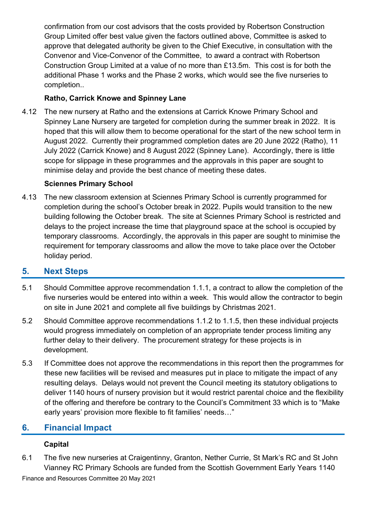confirmation from our cost advisors that the costs provided by Robertson Construction Group Limited offer best value given the factors outlined above, Committee is asked to approve that delegated authority be given to the Chief Executive, in consultation with the Convenor and Vice-Convenor of the Committee, to award a contract with Robertson Construction Group Limited at a value of no more than £13.5m. This cost is for both the additional Phase 1 works and the Phase 2 works, which would see the five nurseries to completion..

### **Ratho, Carrick Knowe and Spinney Lane**

4.12 The new nursery at Ratho and the extensions at Carrick Knowe Primary School and Spinney Lane Nursery are targeted for completion during the summer break in 2022. It is hoped that this will allow them to become operational for the start of the new school term in August 2022. Currently their programmed completion dates are 20 June 2022 (Ratho), 11 July 2022 (Carrick Knowe) and 8 August 2022 (Spinney Lane). Accordingly, there is little scope for slippage in these programmes and the approvals in this paper are sought to minimise delay and provide the best chance of meeting these dates.

#### **Sciennes Primary School**

4.13 The new classroom extension at Sciennes Primary School is currently programmed for completion during the school's October break in 2022. Pupils would transition to the new building following the October break. The site at Sciennes Primary School is restricted and delays to the project increase the time that playground space at the school is occupied by temporary classrooms. Accordingly, the approvals in this paper are sought to minimise the requirement for temporary classrooms and allow the move to take place over the October holiday period.

## **5. Next Steps**

- 5.1 Should Committee approve recommendation 1.1.1, a contract to allow the completion of the five nurseries would be entered into within a week. This would allow the contractor to begin on site in June 2021 and complete all five buildings by Christmas 2021.
- 5.2 Should Committee approve recommendations 1.1.2 to 1.1.5, then these individual projects would progress immediately on completion of an appropriate tender process limiting any further delay to their delivery. The procurement strategy for these projects is in development.
- 5.3 If Committee does not approve the recommendations in this report then the programmes for these new facilities will be revised and measures put in place to mitigate the impact of any resulting delays. Delays would not prevent the Council meeting its statutory obligations to deliver 1140 hours of nursery provision but it would restrict parental choice and the flexibility of the offering and therefore be contrary to the Council's Commitment 33 which is to "Make early years' provision more flexible to fit families' needs…"

## **6. Financial Impact**

#### **Capital**

6.1 The five new nurseries at Craigentinny, Granton, Nether Currie, St Mark's RC and St John Vianney RC Primary Schools are funded from the Scottish Government Early Years 1140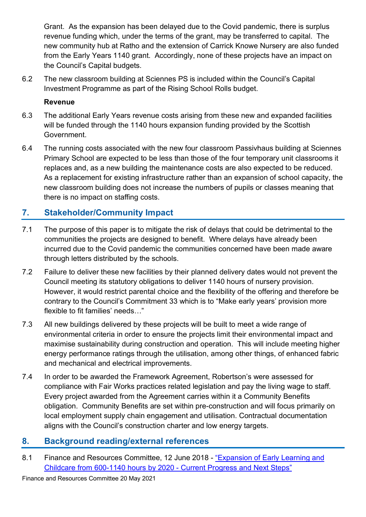Grant. As the expansion has been delayed due to the Covid pandemic, there is surplus revenue funding which, under the terms of the grant, may be transferred to capital. The new community hub at Ratho and the extension of Carrick Knowe Nursery are also funded from the Early Years 1140 grant. Accordingly, none of these projects have an impact on the Council's Capital budgets.

6.2 The new classroom building at Sciennes PS is included within the Council's Capital Investment Programme as part of the Rising School Rolls budget.

#### **Revenue**

- 6.3 The additional Early Years revenue costs arising from these new and expanded facilities will be funded through the 1140 hours expansion funding provided by the Scottish Government.
- 6.4 The running costs associated with the new four classroom Passivhaus building at Sciennes Primary School are expected to be less than those of the four temporary unit classrooms it replaces and, as a new building the maintenance costs are also expected to be reduced. As a replacement for existing infrastructure rather than an expansion of school capacity, the new classroom building does not increase the numbers of pupils or classes meaning that there is no impact on staffing costs.

## **7. Stakeholder/Community Impact**

- 7.1 The purpose of this paper is to mitigate the risk of delays that could be detrimental to the communities the projects are designed to benefit. Where delays have already been incurred due to the Covid pandemic the communities concerned have been made aware through letters distributed by the schools.
- 7.2 Failure to deliver these new facilities by their planned delivery dates would not prevent the Council meeting its statutory obligations to deliver 1140 hours of nursery provision. However, it would restrict parental choice and the flexibility of the offering and therefore be contrary to the Council's Commitment 33 which is to "Make early years' provision more flexible to fit families' needs…"
- 7.3 All new buildings delivered by these projects will be built to meet a wide range of environmental criteria in order to ensure the projects limit their environmental impact and maximise sustainability during construction and operation. This will include meeting higher energy performance ratings through the utilisation, among other things, of enhanced fabric and mechanical and electrical improvements.
- 7.4 In order to be awarded the Framework Agreement, Robertson's were assessed for compliance with Fair Works practices related legislation and pay the living wage to staff. Every project awarded from the Agreement carries within it a Community Benefits obligation. Community Benefits are set within pre-construction and will focus primarily on local employment supply chain engagement and utilisation. Contractual documentation aligns with the Council's construction charter and low energy targets.

## **8. Background reading/external references**

8.1 Finance and Resources Committee, 12 June 2018 - "Expansion of Early Learning and [Childcare from 600-1140 hours by 2020 -](https://democracy.edinburgh.gov.uk/Data/Finance%20and%20Resources%20Committee/20180612/Agenda/$item_724_-_expansion_of_early_learning_and_childcare_from_600-1400_hours_by_2020_-_current_progress_and_next_.xls.pdf) Current Progress and Next Steps"